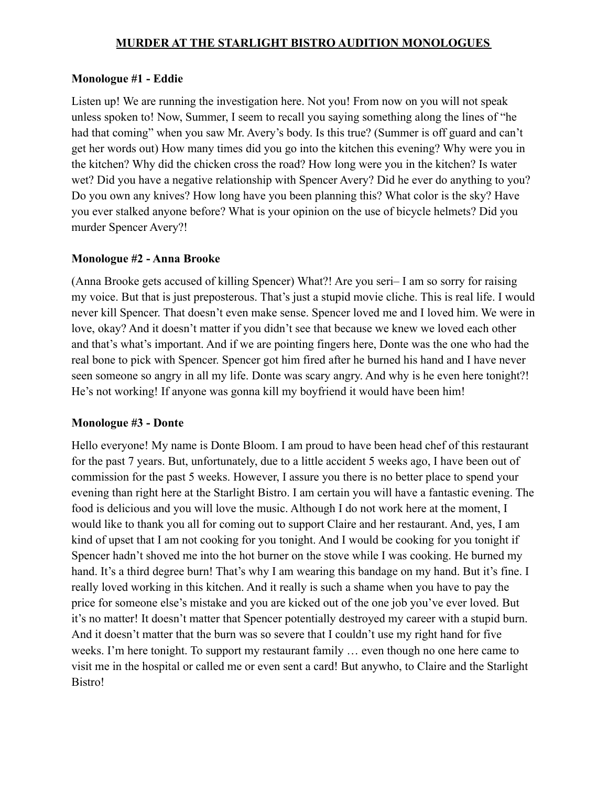# **MURDER AT THE STARLIGHT BISTRO AUDITION MONOLOGUES**

### **Monologue #1 - Eddie**

Listen up! We are running the investigation here. Not you! From now on you will not speak unless spoken to! Now, Summer, I seem to recall you saying something along the lines of "he had that coming" when you saw Mr. Avery's body. Is this true? (Summer is off guard and can't get her words out) How many times did you go into the kitchen this evening? Why were you in the kitchen? Why did the chicken cross the road? How long were you in the kitchen? Is water wet? Did you have a negative relationship with Spencer Avery? Did he ever do anything to you? Do you own any knives? How long have you been planning this? What color is the sky? Have you ever stalked anyone before? What is your opinion on the use of bicycle helmets? Did you murder Spencer Avery?!

### **Monologue #2 - Anna Brooke**

(Anna Brooke gets accused of killing Spencer) What?! Are you seri– I am so sorry for raising my voice. But that is just preposterous. That's just a stupid movie cliche. This is real life. I would never kill Spencer. That doesn't even make sense. Spencer loved me and I loved him. We were in love, okay? And it doesn't matter if you didn't see that because we knew we loved each other and that's what's important. And if we are pointing fingers here, Donte was the one who had the real bone to pick with Spencer. Spencer got him fired after he burned his hand and I have never seen someone so angry in all my life. Donte was scary angry. And why is he even here tonight?! He's not working! If anyone was gonna kill my boyfriend it would have been him!

## **Monologue #3 - Donte**

Hello everyone! My name is Donte Bloom. I am proud to have been head chef of this restaurant for the past 7 years. But, unfortunately, due to a little accident 5 weeks ago, I have been out of commission for the past 5 weeks. However, I assure you there is no better place to spend your evening than right here at the Starlight Bistro. I am certain you will have a fantastic evening. The food is delicious and you will love the music. Although I do not work here at the moment, I would like to thank you all for coming out to support Claire and her restaurant. And, yes, I am kind of upset that I am not cooking for you tonight. And I would be cooking for you tonight if Spencer hadn't shoved me into the hot burner on the stove while I was cooking. He burned my hand. It's a third degree burn! That's why I am wearing this bandage on my hand. But it's fine. I really loved working in this kitchen. And it really is such a shame when you have to pay the price for someone else's mistake and you are kicked out of the one job you've ever loved. But it's no matter! It doesn't matter that Spencer potentially destroyed my career with a stupid burn. And it doesn't matter that the burn was so severe that I couldn't use my right hand for five weeks. I'm here tonight. To support my restaurant family … even though no one here came to visit me in the hospital or called me or even sent a card! But anywho, to Claire and the Starlight Bistro!